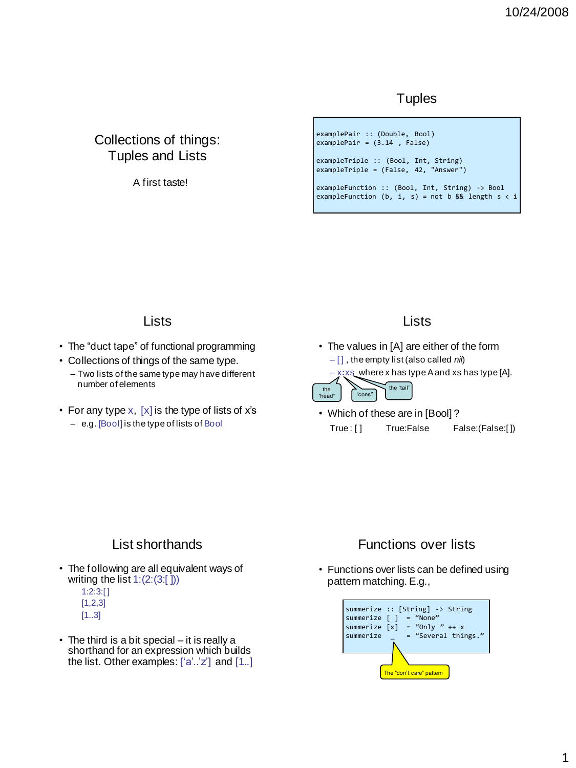## **Tuples**

# Collections of things: Tuples and Lists

A first taste!

#### examplePair :: (Double, Bool) examplePair = (3.14 , False) exampleTriple :: (Bool, Int, String) exampleTriple = (False, 42, "Answer")

exampleFunction :: (Bool, Int, String) -> Bool exampleFunction (b, i, s) = not b && length  $s < i$ 

## **Lists**

- The "duct tape" of functional programming
- Collections of things of the same type.
	- Two lists of the same type may have different number of elements
- For any type  $x$ ,  $[x]$  is the type of lists of  $x$ 's

#### – e.g. [Bool] is the type of lists of Bool

## Lists

- The values in [A] are either of the form – [ ] , the empty list (also called *nil*)
	- x**:**xs where x has type A and xs has type [A].



• Which of these are in [Bool] ? True: [] True: False False: (False: [])

# List shorthands

- The following are all equivalent ways of writing the list  $1:(2:(3:[))$ 
	- 1:2:3:[ ]  $[1,2,3]$ [1..3]
- The third is a bit special it is really a shorthand for an expression which builds the list. Other examples:  $['a'..'z']$  and  $[1..]$

# Functions over lists

• Functions over lists can be defined using pattern matching. E.g.,

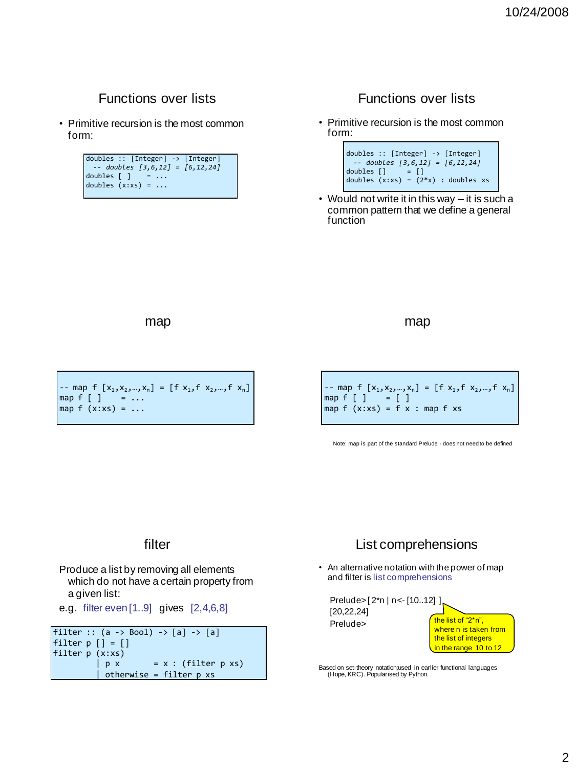# Functions over lists

• Primitive recursion is the most common form:

#### doubles :: [Integer] -> [Integer] *-- doubles [3,6,12] = [6,12,24]* doubles [ ] doubles  $(x:xs) = ...$

# Functions over lists

• Primitive recursion is the most common form:



• Would not write it in this way – it is such a common pattern that we define a general function

map

-- map f  $[x_1, x_2, ..., x_n] = [f x_1, f x_2, ..., f x_n]$ map  $f \left[ \begin{array}{ccc} 1 \end{array} \right] = \ldots$ map  $f(x:xs) = ...$ 

map

-- map f  $[x_1, x_2, ..., x_n] = [f x_1, f x_2, ..., f x_n]$ map  $f \left[ \begin{array}{cc} 1 \end{array} \right] = \left[ \begin{array}{cc} 1 \end{array} \right]$ map  $f(x:xs) = f(x:map f xs)$ 

Note: map is part of the standard Prelude - does not need to be defined

### filter

Produce a list by removing all elements which do not have a certain property from a given list:

e.g. filter even [1..9] gives [2,4,6,8]

filter ::  $(a \rightarrow Bool) \rightarrow [a] \rightarrow [a]$ filter  $p$   $[] = []$ filter p (x:xs)<br>p x  $= x : (filter p xs)$  $otherwise = filter p xs$ 

# List comprehensions

• An alternative notation with the power of map and filter is list comprehensions



Based on set-theory notation;used in earlier functional languages (Hope, KRC). Popularised by Python.